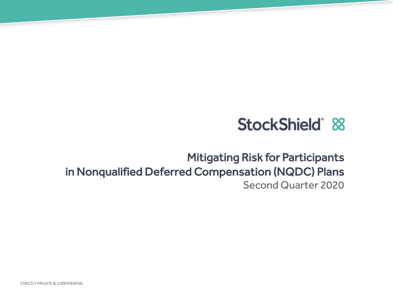# StockShield® 88

### Mitigating Risk for Participants in Nonqualified Deferred Compensation (NQDC) Plans Second Quarter 2020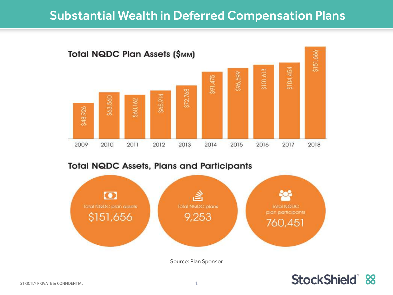### Substantial Wealth in Deferred Compensation Plans



#### **Total NQDC Assets, Plans and Participants**



Source: Plan Sponsor

### StockShield &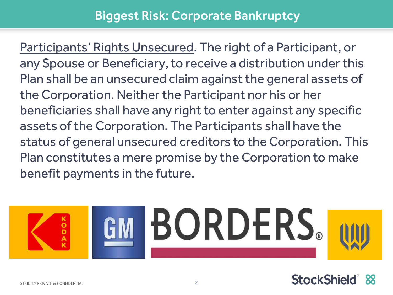### Biggest Risk: Corporate Bankruptcy

Participants' Rights Unsecured. The right of a Participant, or any Spouse or Beneficiary, to receive a distribution under this Plan shall be an unsecured claim against the general assets of the Corporation. Neither the Participant nor his or her beneficiaries shall have any right to enter against any specific assets of the Corporation. The Participants shall have the status of general unsecured creditors to the Corporation. This Plan constitutes a mere promise by the Corporation to make benefit payments in the future.



### StockShield® 88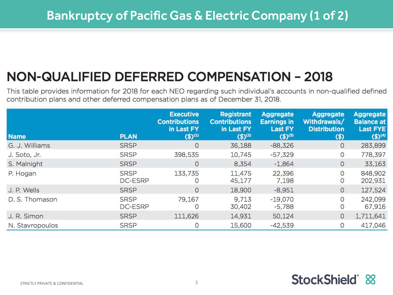## NON-QUALIFIED DEFERRED COMPENSATION - 2018

This table provides information for 2018 for each NEO regarding such individual's accounts in non-qualified defined contribution plans and other deferred compensation plans as of December 31, 2018.

| <b>Name</b>     | <b>PLAN</b>                   | <b>Executive</b><br><b>Contributions</b><br>in Last FY<br>$($ \$) $(1)$ | <b>Registrant</b><br><b>Contributions</b><br>in Last FY<br>$($ \$) <sup>(2)</sup> | <b>Aggregate</b><br><b>Earnings in</b><br><b>Last FY</b><br>$($ \$) <sup>(3)</sup> | <b>Aggregate</b><br>Withdrawals/<br><b>Distribution</b><br>$($ \$ | <b>Aggregate</b><br><b>Balance at</b><br><b>Last FYE</b><br>$($ \$) <sup>(4)</sup> |
|-----------------|-------------------------------|-------------------------------------------------------------------------|-----------------------------------------------------------------------------------|------------------------------------------------------------------------------------|-------------------------------------------------------------------|------------------------------------------------------------------------------------|
| G. J. Williams  | <b>SRSP</b>                   | 0                                                                       | 36,188                                                                            | $-88,326$                                                                          | 0                                                                 | 283,899                                                                            |
| J. Soto, Jr.    | <b>SRSP</b>                   | 398,535                                                                 | 10,745                                                                            | $-57,329$                                                                          | $\overline{0}$                                                    | 778,397                                                                            |
| S. Malnight     | <b>SRSP</b>                   | 0                                                                       | 8,354                                                                             | $-1,864$                                                                           | 0                                                                 | 33,163                                                                             |
| P. Hogan        | <b>SRSP</b><br><b>DC-ESRP</b> | 133,735                                                                 | 11,475<br>45,177                                                                  | 22,396<br>7,198                                                                    | 0<br>$\circ$                                                      | 848,902<br>202,931                                                                 |
| J. P. Wells     | <b>SRSP</b>                   | 0                                                                       | 18,900                                                                            | $-8,951$                                                                           | 0                                                                 | 127,524                                                                            |
| D. S. Thomason  | <b>SRSP</b><br><b>DC-ESRP</b> | 79,167                                                                  | 9,713<br>30,402                                                                   | $-19,070$<br>$-5,788$                                                              | 0<br>$\circ$                                                      | 242,099<br>67,916                                                                  |
| J. R. Simon     | <b>SRSP</b>                   | 111,626                                                                 | 14,931                                                                            | 50,124                                                                             | $\mathbf{0}$                                                      | 1,711,641                                                                          |
| N. Stavropoulos | <b>SRSP</b>                   |                                                                         | 15,600                                                                            | $-42,539$                                                                          | $\overline{O}$                                                    | 417,046                                                                            |

### StockShield &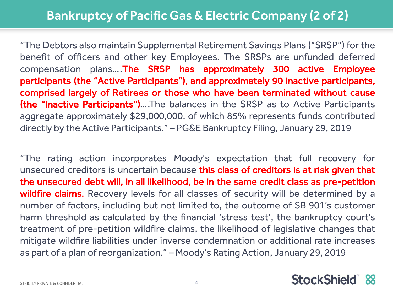"The Debtors also maintain Supplemental Retirement Savings Plans ("SRSP") for the benefit of officers and other key Employees. The SRSPs are unfunded deferred compensation plans….The SRSP has approximately 300 active Employee participants (the "Active Participants"), and approximately 90 inactive participants, comprised largely of Retirees or those who have been terminated without cause (the "Inactive Participants")….The balances in the SRSP as to Active Participants aggregate approximately \$29,000,000, of which 85% represents funds contributed directly by the Active Participants." – PG&E Bankruptcy Filing, January 29, 2019

"The rating action incorporates Moody's expectation that full recovery for unsecured creditors is uncertain because this class of creditors is at risk given that the unsecured debt will, in all likelihood, be in the same credit class as pre-petition wildfire claims. Recovery levels for all classes of security will be determined by a number of factors, including but not limited to, the outcome of SB 901's customer harm threshold as calculated by the financial 'stress test', the bankruptcy court's treatment of pre-petition wildfire claims, the likelihood of legislative changes that mitigate wildfire liabilities under inverse condemnation or additional rate increases as part of a plan of reorganization." – Moody's Rating Action, January 29, 2019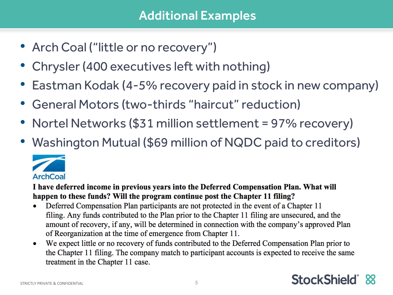- Arch Coal ("little or no recovery")
- Chrysler (400 executives left with nothing)
- Eastman Kodak (4-5% recovery paid in stock in new company)
- General Motors (two-thirds "haircut" reduction)
- Nortel Networks (\$31 million settlement = 97% recovery)
- Washington Mutual (\$69 million of NQDC paid to creditors)



I have deferred income in previous vears into the Deferred Compensation Plan. What will happen to these funds? Will the program continue post the Chapter 11 filing?

- Deferred Compensation Plan participants are not protected in the event of a Chapter 11  $\bullet$ filing. Any funds contributed to the Plan prior to the Chapter 11 filing are unsecured, and the amount of recovery, if any, will be determined in connection with the company's approved Plan of Reorganization at the time of emergence from Chapter 11.
- We expect little or no recovery of funds contributed to the Deferred Compensation Plan prior to  $\bullet$ the Chapter 11 filing. The company match to participant accounts is expected to receive the same treatment in the Chapter 11 case.

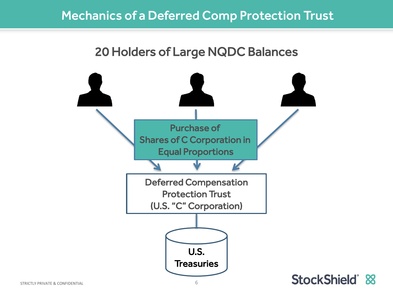### Mechanics of a Deferred Comp Protection Trust

### 20 Holders of Large NQDC Balances



STRICTLY PRIVATE & CONFIDENTIAL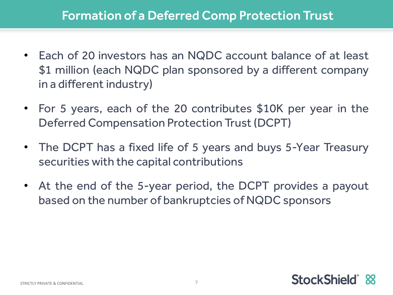- Each of 20 investors has an NQDC account balance of at least \$1 million (each NQDC plan sponsored by a different company in a different industry)
- For 5 years, each of the 20 contributes \$10K per year in the Deferred Compensation Protection Trust(DCPT)
- The DCPT has a fixed life of 5 years and buys 5-Year Treasury securities with the capital contributions
- At the end of the 5-year period, the DCPT provides a payout based on the number of bankruptcies of NQDC sponsors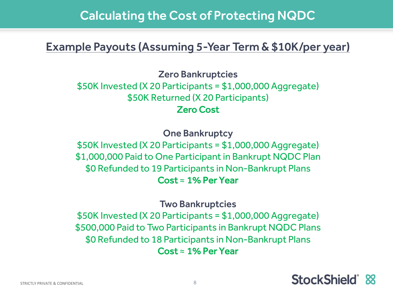### Calculating the Cost of Protecting NQDC

### Example Payouts (Assuming 5-Year Term & \$10K/per year)

Zero Bankruptcies \$50K Invested (X 20 Participants = \$1,000,000 Aggregate) \$50K Returned (X 20 Participants) Zero Cost

One Bankruptcy \$50K Invested (X 20 Participants = \$1,000,000 Aggregate) \$1,000,000 Paid to One Participant in Bankrupt NQDC Plan \$0 Refunded to 19 Participants in Non-Bankrupt Plans  $Cost \approx 1\%$  Per Year

Two Bankruptcies \$50K Invested (X 20 Participants = \$1,000,000 Aggregate) \$500,000 Paid to Two Participants in Bankrupt NQDC Plans \$0 Refunded to 18 Participants in Non-Bankrupt Plans  $Cost \approx 1\%$  Per Year